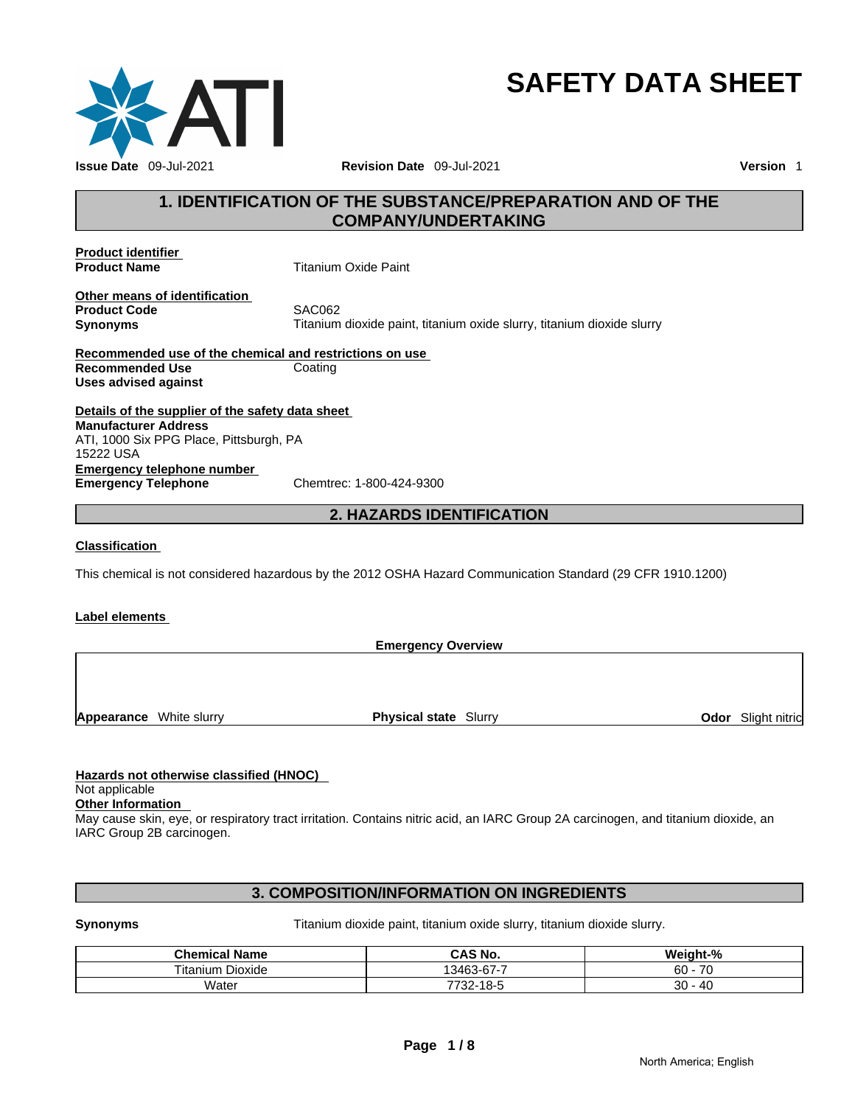

## **SAFETY DATA SHEET**

### **1. IDENTIFICATION OF THE SUBSTANCE/PREPARATION AND OF THE COMPANY/UNDERTAKING**

**Product identifier** 

**Product Name Titanium Oxide Paint** 

**Other means of identification Product Code 6 SAC062** 

**Synonyms Titanium dioxide paint, titanium oxide slurry, titanium dioxide slurry** 

**Recommended use of the chemical and restrictions on use Recommended Use Coating Uses advised against** 

**Details of the supplier of the safety data sheet Emergency telephone number<br>
Emergency Telephone**<br>
Chemtrec: 1-800-424-9300 **Emergency Telephone Manufacturer Address** ATI, 1000 Six PPG Place, Pittsburgh, PA 15222 USA

#### **2. HAZARDS IDENTIFICATION**

**Classification** 

This chemical is not considered hazardous by the 2012 OSHA Hazard Communication Standard (29 CFR 1910.1200)

#### **Label elements**

**Emergency Overview Appearance** White slurry **Physical state** Slurry **Odor** Slight nitric

#### **Hazards not otherwise classified (HNOC)**

Not applicable

**Other Information**  May cause skin, eye, or respiratory tract irritation. Contains nitric acid, an IARC Group 2A carcinogen, and titanium dioxide, an IARC Group 2B carcinogen.

#### **3. COMPOSITION/INFORMATION ON INGREDIENTS**

**Synonyms Titanium dioxide paint, titanium oxide slurry, titanium dioxide slurry.** 

| <b>Chemical Name</b> | CAS No.                                      | Weight-%       |
|----------------------|----------------------------------------------|----------------|
| ⊺itanium Dioxide     | 677<br>$\overline{\phantom{a}}$<br>3463-67-7 | 70<br>60<br>'U |
| Water                | -18-5<br>7722<br>-32-                        | 30<br>40       |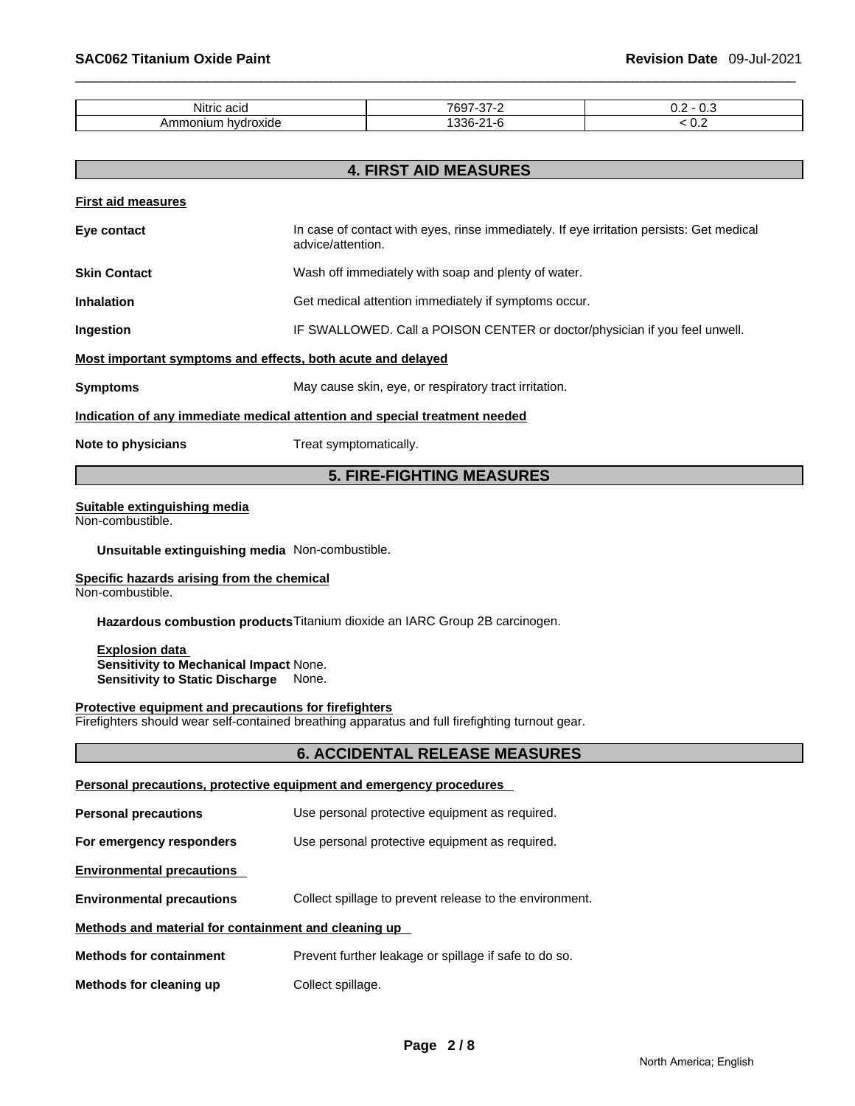| .<br>Λŀ<br>acıc<br>ш<br>NI.                |            | <b></b><br>ິ |
|--------------------------------------------|------------|--------------|
| $\sim$<br>ا - - - - -<br>oniun<br>$\cdots$ | nnr<br>. . | v.c          |

**4. FIRST AID MEASURES** 

|                                                             | 7. LINJI AID MLAJUNLJ                                                                                         |  |  |
|-------------------------------------------------------------|---------------------------------------------------------------------------------------------------------------|--|--|
| <b>First aid measures</b>                                   |                                                                                                               |  |  |
| Eye contact                                                 | In case of contact with eyes, rinse immediately. If eye irritation persists: Get medical<br>advice/attention. |  |  |
| <b>Skin Contact</b>                                         | Wash off immediately with soap and plenty of water.                                                           |  |  |
| <b>Inhalation</b>                                           | Get medical attention immediately if symptoms occur.                                                          |  |  |
| Ingestion                                                   | IF SWALLOWED. Call a POISON CENTER or doctor/physician if you feel unwell.                                    |  |  |
| Most important symptoms and effects, both acute and delayed |                                                                                                               |  |  |
| <b>Symptoms</b>                                             | May cause skin, eye, or respiratory tract irritation.                                                         |  |  |
|                                                             | Indication of any immediate medical attention and special treatment needed                                    |  |  |
| Note to physicians                                          | Treat symptomatically.                                                                                        |  |  |

#### **5. FIRE-FIGHTING MEASURES**

#### **Suitable extinguishing media**

Non-combustible.

**Unsuitable extinguishing media** Non-combustible.

### **Specific hazards arising from the chemical**

Non-combustible.

**Hazardous combustion products** Titanium dioxide an IARC Group 2B carcinogen.

**Explosion data Sensitivity to Mechanical Impact** None. **Sensitivity to Static Discharge** None.

#### **Protective equipment and precautions for firefighters**

Firefighters should wear self-contained breathing apparatus and full firefighting turnout gear.

#### **6. ACCIDENTAL RELEASE MEASURES**

| Personal precautions, protective equipment and emergency procedures |                                                         |  |  |
|---------------------------------------------------------------------|---------------------------------------------------------|--|--|
| <b>Personal precautions</b>                                         | Use personal protective equipment as required.          |  |  |
| For emergency responders                                            | Use personal protective equipment as required.          |  |  |
| <b>Environmental precautions</b>                                    |                                                         |  |  |
| <b>Environmental precautions</b>                                    | Collect spillage to prevent release to the environment. |  |  |
| Methods and material for containment and cleaning up                |                                                         |  |  |
| <b>Methods for containment</b>                                      | Prevent further leakage or spillage if safe to do so.   |  |  |
| Methods for cleaning up                                             | Collect spillage.                                       |  |  |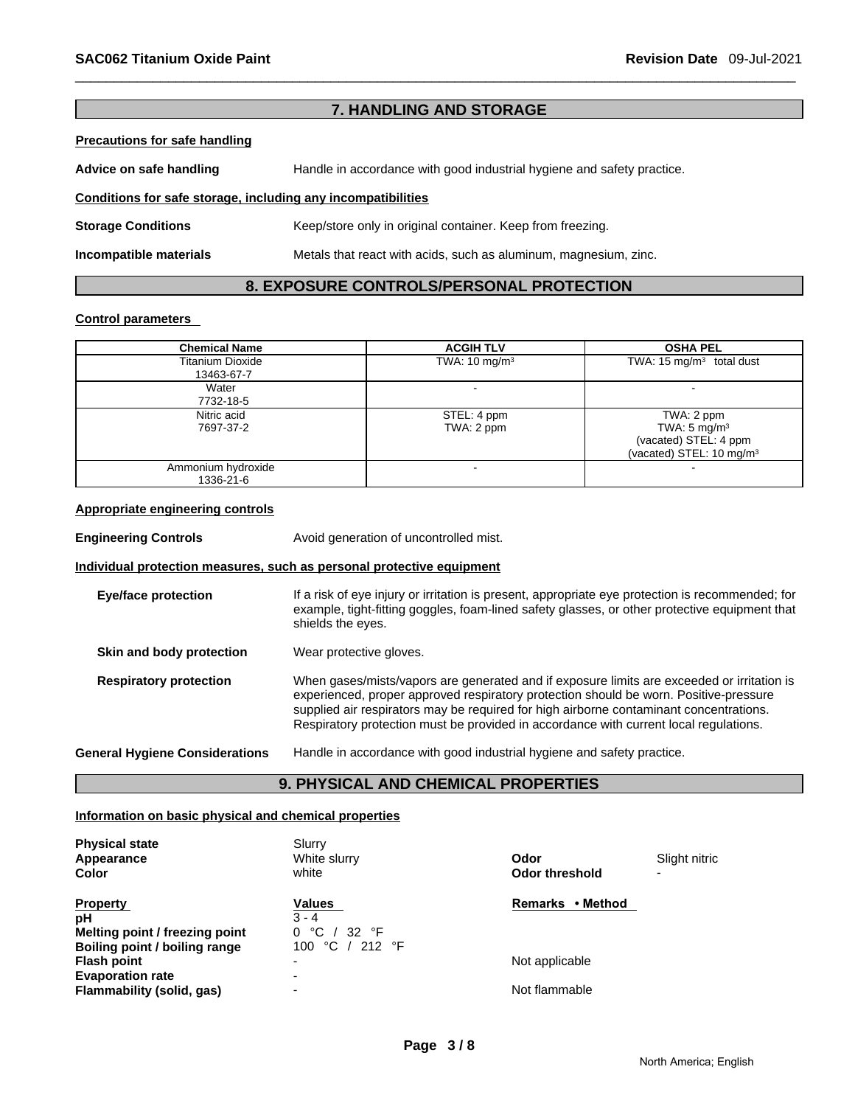#### **7. HANDLING AND STORAGE**

#### **Precautions for safe handling**

**Advice on safe handling** Handle in accordance with good industrial hygiene and safety practice.

#### **Conditions for safe storage, including any incompatibilities**

**Storage Conditions** Keep/store only in original container. Keep from freezing.

**Incompatible materials** Metals that react with acids, such as aluminum, magnesium, zinc.

#### **8. EXPOSURE CONTROLS/PERSONAL PROTECTION**

#### **Control parameters**

| <b>Chemical Name</b>    | <b>ACGIH TLV</b>         | <b>OSHA PEL</b>                      |
|-------------------------|--------------------------|--------------------------------------|
| <b>Titanium Dioxide</b> | TWA: $10 \text{ mg/m}^3$ | TWA: $15 \text{ mg/m}^3$ total dust  |
| 13463-67-7              |                          |                                      |
| Water                   |                          |                                      |
| 7732-18-5               |                          |                                      |
| Nitric acid             | STEL: 4 ppm              | TWA: 2 ppm                           |
| 7697-37-2               | TWA: 2 ppm               | TWA: $5 \text{ mg/m}^3$              |
|                         |                          | (vacated) STEL: 4 ppm                |
|                         |                          | (vacated) STEL: 10 mg/m <sup>3</sup> |
| Ammonium hydroxide      |                          |                                      |
| 1336-21-6               |                          |                                      |

#### **Appropriate engineering controls**

**Engineering Controls Avoid generation of uncontrolled mist.** 

#### **Individual protection measures, such as personal protective equipment**

| <b>Eye/face protection</b>            | If a risk of eye injury or irritation is present, appropriate eye protection is recommended; for<br>example, tight-fitting goggles, foam-lined safety glasses, or other protective equipment that<br>shields the eyes.                                                                                                                                                 |
|---------------------------------------|------------------------------------------------------------------------------------------------------------------------------------------------------------------------------------------------------------------------------------------------------------------------------------------------------------------------------------------------------------------------|
| Skin and body protection              | Wear protective gloves.                                                                                                                                                                                                                                                                                                                                                |
| <b>Respiratory protection</b>         | When gases/mists/vapors are generated and if exposure limits are exceeded or irritation is<br>experienced, proper approved respiratory protection should be worn. Positive-pressure<br>supplied air respirators may be required for high airborne contaminant concentrations.<br>Respiratory protection must be provided in accordance with current local regulations. |
| <b>General Hygiene Considerations</b> | Handle in accordance with good industrial hygiene and safety practice.                                                                                                                                                                                                                                                                                                 |

#### **9. PHYSICAL AND CHEMICAL PROPERTIES**

#### **Information on basic physical and chemical properties**

| <b>Physical state</b><br>Appearance<br>Color                                             | Slurry<br>White slurry<br>white                                   | Odor<br><b>Odor threshold</b>   | Slight nitric<br>$\overline{\phantom{0}}$ |
|------------------------------------------------------------------------------------------|-------------------------------------------------------------------|---------------------------------|-------------------------------------------|
| <b>Property</b><br>pH<br>Melting point / freezing point<br>Boiling point / boiling range | Values<br>$3 - 4$<br>°C<br>32 $\degree$ F<br>0<br>100 °C / 212 °F | Remarks • Method                |                                           |
| <b>Flash point</b><br><b>Evaporation rate</b><br>Flammability (solid, gas)               | $\overline{\phantom{0}}$<br>$\overline{\phantom{0}}$              | Not applicable<br>Not flammable |                                           |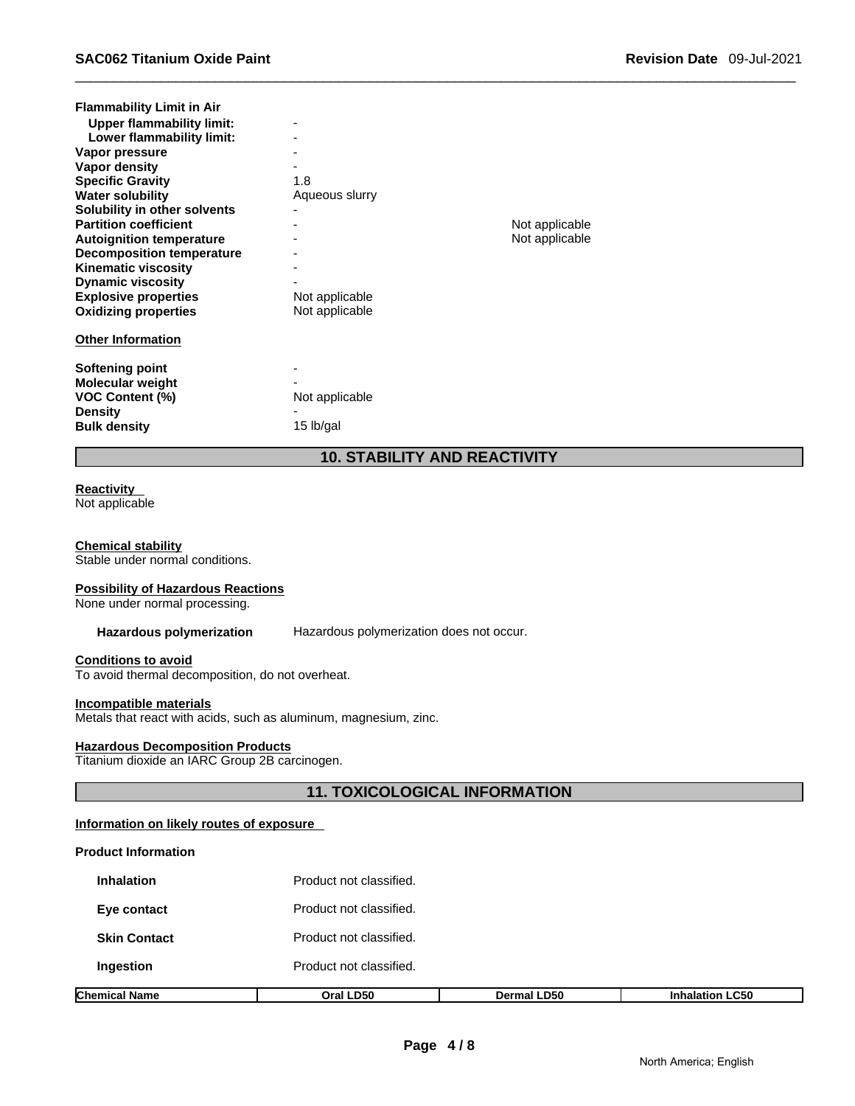| <b>Flammability Limit in Air</b><br><b>Upper flammability limit:</b><br>Lower flammability limit:<br>Vapor pressure<br>Vapor density<br><b>Specific Gravity</b><br><b>Water solubility</b>                                                                  | $\overline{\phantom{a}}$<br>1.8<br>Aqueous slurry |                                  |
|-------------------------------------------------------------------------------------------------------------------------------------------------------------------------------------------------------------------------------------------------------------|---------------------------------------------------|----------------------------------|
| Solubility in other solvents<br><b>Partition coefficient</b><br><b>Autoignition temperature</b><br><b>Decomposition temperature</b><br><b>Kinematic viscosity</b><br><b>Dynamic viscosity</b><br><b>Explosive properties</b><br><b>Oxidizing properties</b> | Not applicable<br>Not applicable                  | Not applicable<br>Not applicable |
| <b>Other Information</b><br>Softening point<br><b>Molecular weight</b><br><b>VOC Content (%)</b><br><b>Density</b><br><b>Bulk density</b>                                                                                                                   | Not applicable<br>15 lb/gal                       |                                  |

### **10. STABILITY AND REACTIVITY**

#### **Reactivity**

Not applicable

#### **Chemical stability**

Stable under normal conditions.

#### **Possibility of Hazardous Reactions**

None under normal processing.

**Hazardous polymerization** Hazardous polymerization does not occur.

#### **Conditions to avoid**

To avoid thermal decomposition, do not overheat.

#### **Incompatible materials**

Metals that react with acids, such as aluminum, magnesium, zinc.

#### **Hazardous Decomposition Products**

Titanium dioxide an IARC Group 2B carcinogen.

#### **11. TOXICOLOGICAL INFORMATION**

#### **Information on likely routes of exposure**

#### **Product Information**

| Chemical Name       | Oral LD50               | <b>Dermal LD50</b> | <b>Inhalation LC50</b> |  |  |  |
|---------------------|-------------------------|--------------------|------------------------|--|--|--|
| Ingestion           | Product not classified. |                    |                        |  |  |  |
| <b>Skin Contact</b> | Product not classified. |                    |                        |  |  |  |
| Eye contact         | Product not classified. |                    |                        |  |  |  |
| <b>Inhalation</b>   | Product not classified. |                    |                        |  |  |  |
|                     |                         |                    |                        |  |  |  |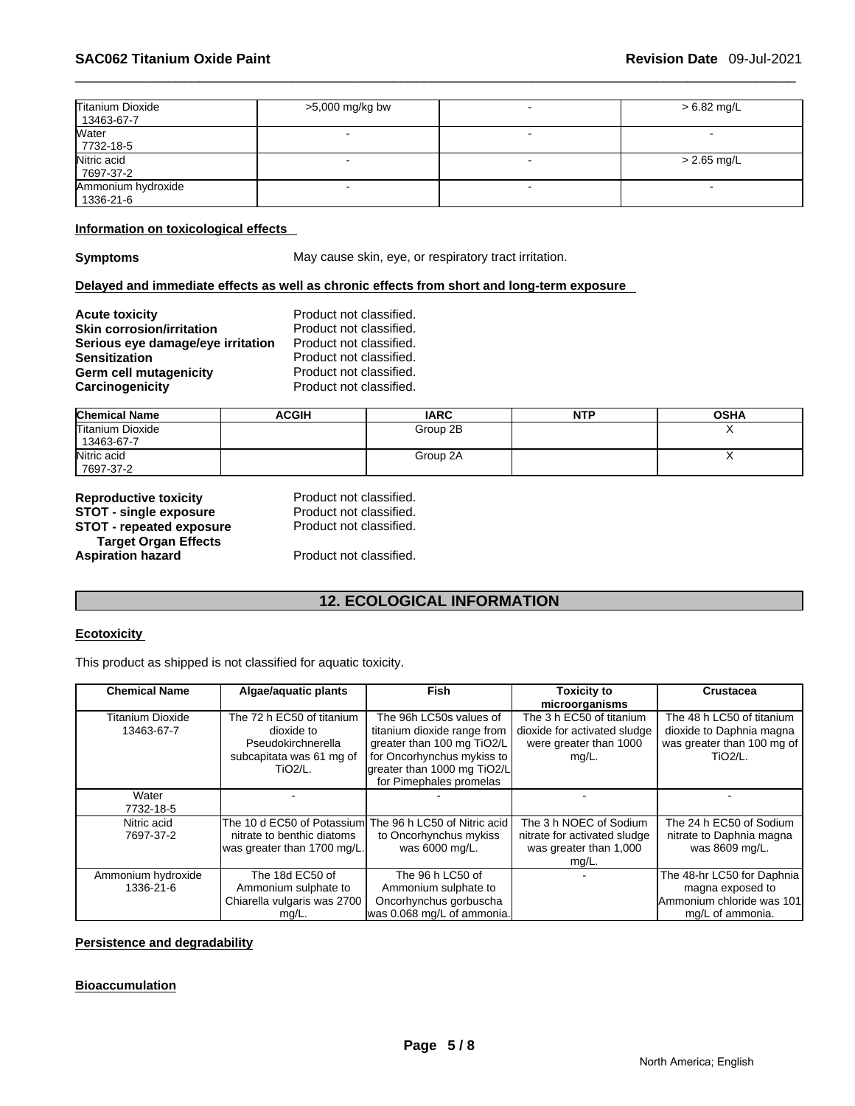| Titanium Dioxide<br>13463-67-7  | >5,000 mg/kg bw | $> 6.82$ mg/L |
|---------------------------------|-----------------|---------------|
| Water<br>7732-18-5              |                 | $-$           |
| Nitric acid<br>7697-37-2        |                 | $> 2.65$ mg/L |
| Ammonium hydroxide<br>1336-21-6 |                 |               |

#### **Information on toxicological effects**

**Symptoms May cause skin, eye, or respiratory tract irritation.** 

#### **Delayed and immediate effects as well as chronic effects from short and long-term exposure**

| <b>Acute toxicity</b>             | Product not classified. |
|-----------------------------------|-------------------------|
| <b>Skin corrosion/irritation</b>  | Product not classified. |
| Serious eye damage/eye irritation | Product not classified. |
| <b>Sensitization</b>              | Product not classified. |
| Germ cell mutagenicity            | Product not classified. |
| Carcinogenicity                   | Product not classified. |

| <b>Chemical Name</b> | <b>ACGIH</b> | <b>IARC</b> | <b>NTP</b> | <b>OSHA</b> |
|----------------------|--------------|-------------|------------|-------------|
| Titanium Dioxide     |              | Group 2B    |            |             |
| 13463-67-7           |              |             |            |             |
| Nitric acid          |              | Group 2A    |            |             |
| 7697-37-2            |              |             |            |             |

| <b>Reproductive toxicity</b>    |  |
|---------------------------------|--|
| <b>STOT - single exposure</b>   |  |
| <b>STOT - repeated exposure</b> |  |
| <b>Target Organ Effects</b>     |  |
| <b>Aspiration hazard</b>        |  |

Product not classified. Product not classified. Product not classified.

Product not classified.

### **12. ECOLOGICAL INFORMATION**

#### **Ecotoxicity**

This product as shipped is not classified for aquatic toxicity.

| <b>Chemical Name</b> | Algae/aquatic plants        | Fish                                                    | <b>Toxicity to</b>           | <b>Crustacea</b>           |
|----------------------|-----------------------------|---------------------------------------------------------|------------------------------|----------------------------|
|                      |                             |                                                         | microorganisms               |                            |
| Titanium Dioxide     | The 72 h EC50 of titanium   | The 96h LC50s values of                                 | The 3 h EC50 of titanium     | The 48 h LC50 of titanium  |
| 13463-67-7           | dioxide to                  | titanium dioxide range from                             | dioxide for activated sludge | dioxide to Daphnia magna   |
|                      | Pseudokirchnerella          | greater than 100 mg TiO2/L                              | were greater than 1000       | was greater than 100 mg of |
|                      | subcapitata was 61 mg of    | for Oncorhynchus mykiss to                              | $mg/L$ .                     | <b>TiO2/L.</b>             |
|                      | TiO <sub>2</sub> /L.        | greater than 1000 mg TiO2/L                             |                              |                            |
|                      |                             | for Pimephales promelas                                 |                              |                            |
| Water                |                             |                                                         |                              |                            |
| 7732-18-5            |                             |                                                         |                              |                            |
| Nitric acid          |                             | The 10 d EC50 of Potassium The 96 h LC50 of Nitric acid | The 3 h NOEC of Sodium       | The 24 h EC50 of Sodium    |
| 7697-37-2            | nitrate to benthic diatoms  | to Oncorhynchus mykiss                                  | nitrate for activated sludge | nitrate to Daphnia magna   |
|                      | was greater than 1700 mg/L. | was 6000 mg/L.                                          | was greater than 1,000       | was 8609 mg/L.             |
|                      |                             |                                                         | mg/L.                        |                            |
| Ammonium hydroxide   | The 18d EC50 of             | The 96 h LC50 of                                        |                              | The 48-hr LC50 for Daphnia |
| 1336-21-6            | Ammonium sulphate to        | Ammonium sulphate to                                    |                              | magna exposed to           |
|                      | Chiarella vulgaris was 2700 | Oncorhynchus gorbuscha                                  |                              | Ammonium chloride was 101  |
|                      | mg/L.                       | was 0.068 mg/L of ammonia.                              |                              | mg/L of ammonia.           |

#### **Persistence and degradability**

# **Page 5 / 8 Bioaccumulation**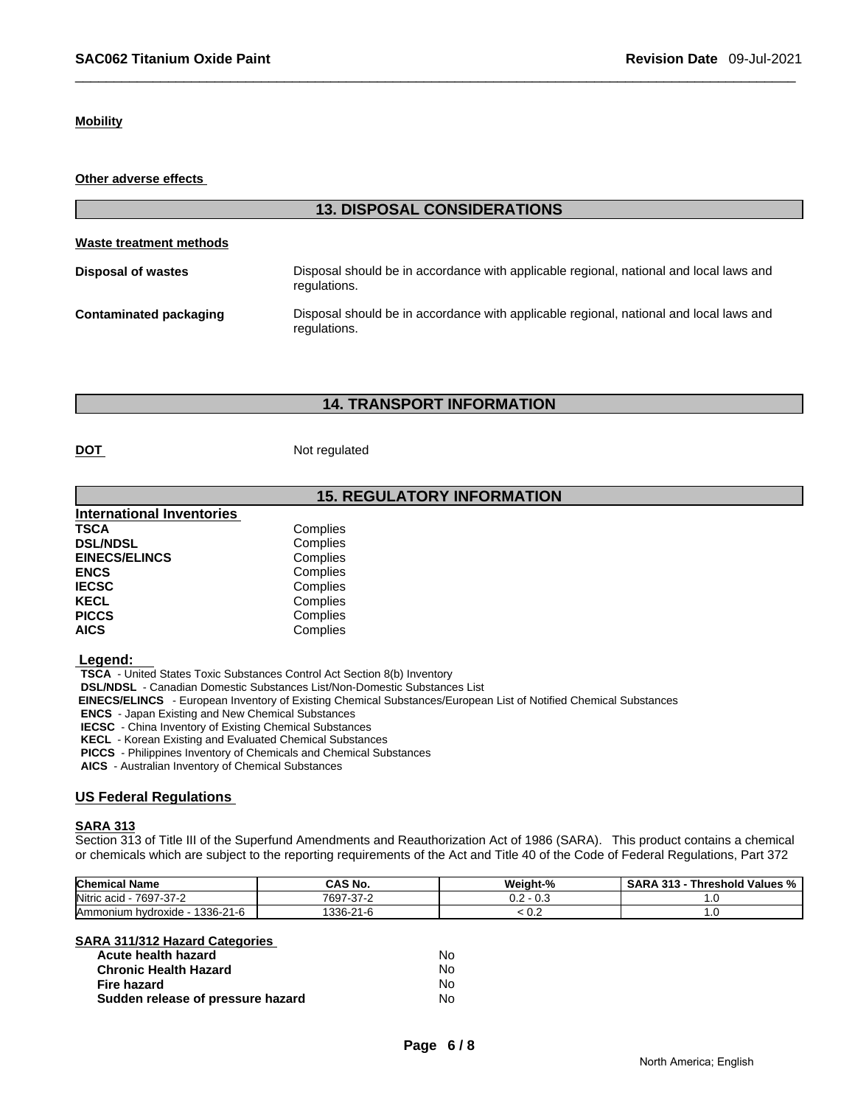#### **Mobility**

**Other adverse effects** 

|                           | <b>13. DISPOSAL CONSIDERATIONS</b>                                                                     |
|---------------------------|--------------------------------------------------------------------------------------------------------|
| Waste treatment methods   |                                                                                                        |
| <b>Disposal of wastes</b> | Disposal should be in accordance with applicable regional, national and local laws and<br>regulations. |
| Contaminated packaging    | Disposal should be in accordance with applicable regional, national and local laws and<br>regulations. |

#### **14. TRANSPORT INFORMATION**

**DOT** Not regulated

#### **15. REGULATORY INFORMATION**

| <b>International Inventories</b> |          |
|----------------------------------|----------|
| TSCA                             | Complies |
| <b>DSL/NDSL</b>                  | Complies |
| <b>EINECS/ELINCS</b>             | Complies |
| <b>ENCS</b>                      | Complies |
| <b>IECSC</b>                     | Complies |
| <b>KECL</b>                      | Complies |
| <b>PICCS</b>                     | Complies |
| <b>AICS</b>                      | Complies |

 **Legend:** 

 **TSCA** - United States Toxic Substances Control Act Section 8(b) Inventory

 **DSL/NDSL** - Canadian Domestic Substances List/Non-Domestic Substances List

 **EINECS/ELINCS** - European Inventory of Existing Chemical Substances/European List of Notified Chemical Substances

 **ENCS** - Japan Existing and New Chemical Substances

 **IECSC** - China Inventory of Existing Chemical Substances

 **KECL** - Korean Existing and Evaluated Chemical Substances

 **PICCS** - Philippines Inventory of Chemicals and Chemical Substances

 **AICS** - Australian Inventory of Chemical Substances

#### **US Federal Regulations**

#### **SARA 313**

Section 313 of Title III of the Superfund Amendments and Reauthorization Act of 1986 (SARA). This product contains a chemical or chemicals which are subject to the reporting requirements of the Act and Title 40 of the Code of Federal Regulations, Part 372

| <b>Chemical Name</b>                      | .<br>i No.<br>uno                    | Weiaht-%                  | d Values %<br>-949<br><b>SARA</b><br>Threshold<br>- 313 |
|-------------------------------------------|--------------------------------------|---------------------------|---------------------------------------------------------|
| Nitric acio<br>7697-37-2<br>$\sim$        | $\sim$<br>7697<br>$\sim$<br>- 31 - 4 | $\sim$<br>ົ<br>v.J<br>v.z | ن ،                                                     |
| 1336-21-6<br>hvdroxide<br><b>Ammonium</b> | 1336-<br>$\sim$<br>سوا ہے۔           | ◡.∠                       | ن. ا                                                    |

| SARA 311/312 Hazard Categories    |    |
|-----------------------------------|----|
| Acute health hazard               | N٥ |
| <b>Chronic Health Hazard</b>      | N٥ |
| Fire hazard                       | N٥ |
| Sudden release of pressure hazard | N٥ |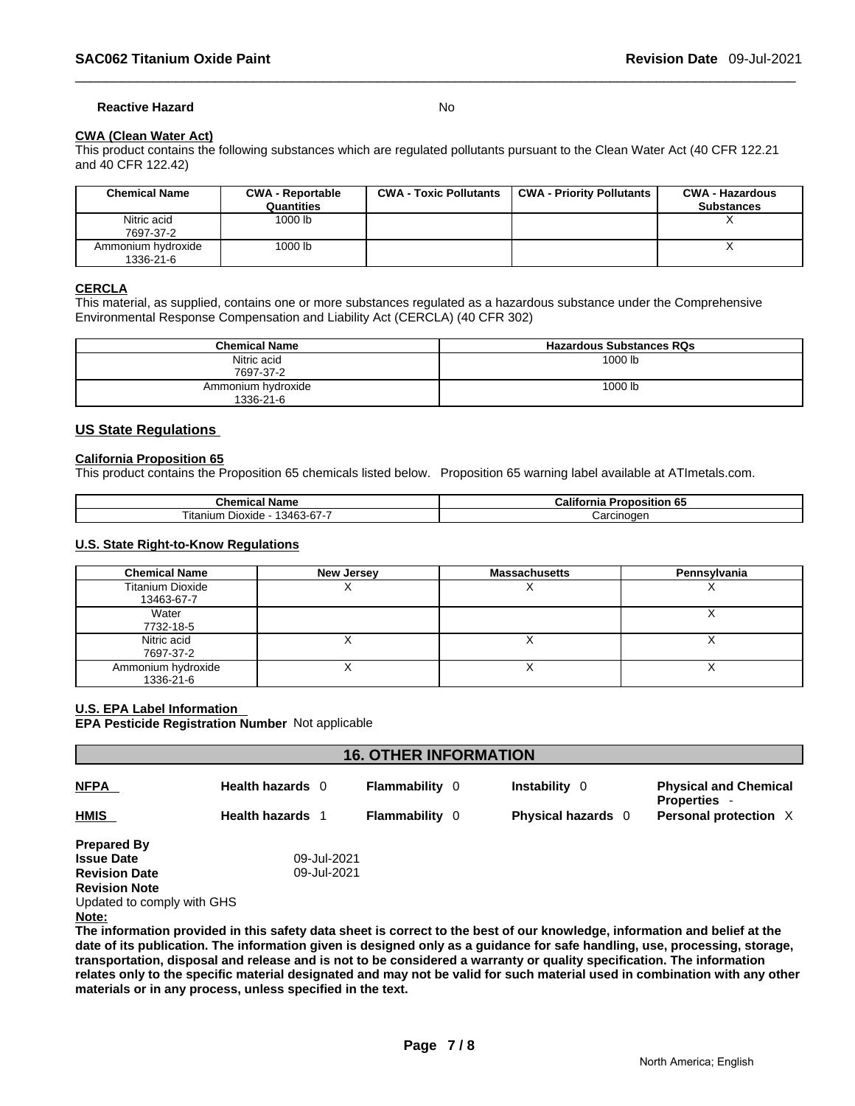#### **Reactive Hazard** No

#### **CWA (Clean Water Act)**

This product contains the following substances which are regulated pollutants pursuant to the Clean Water Act (40 CFR 122.21 and 40 CFR 122.42)

| <b>Chemical Name</b>            | <b>CWA - Reportable</b><br>Quantities | <b>CWA - Toxic Pollutants</b> | <b>CWA - Priority Pollutants</b> | <b>CWA - Hazardous</b><br><b>Substances</b> |
|---------------------------------|---------------------------------------|-------------------------------|----------------------------------|---------------------------------------------|
| Nitric acid<br>7697-37-2        | 1000 lb                               |                               |                                  |                                             |
| Ammonium hydroxide<br>1336-21-6 | 1000 lb                               |                               |                                  |                                             |

#### **CERCLA**

This material, as supplied, contains one or more substances regulated as a hazardous substance under the Comprehensive Environmental Response Compensation and Liability Act (CERCLA) (40 CFR 302)

| <b>Chemical Name</b>            | <b>Hazardous Substances RQs</b> |
|---------------------------------|---------------------------------|
| Nitric acid<br>7697-37-2        | 1000 lb                         |
| Ammonium hydroxide<br>1336-21-6 | 1000 lb                         |

#### **US State Regulations**

#### **California Proposition 65**

This product contains the Proposition 65 chemicals listed below. Proposition 65 warning label available at ATImetals.com.

| Name<br><b>The contract of the State State State 2000</b><br>Cnemical | - 126<br>. 65<br>'roposition<br>California |
|-----------------------------------------------------------------------|--------------------------------------------|
| 13463-67-7<br>⊃ioxide ·<br>itanium                                    | Carcınoqer                                 |

#### **U.S. State Right-to-Know Regulations**

| <b>Chemical Name</b>    | <b>New Jersey</b> | <b>Massachusetts</b> | Pennsylvania |
|-------------------------|-------------------|----------------------|--------------|
| <b>Titanium Dioxide</b> |                   |                      |              |
| 13463-67-7              |                   |                      |              |
| Water                   |                   |                      |              |
| 7732-18-5               |                   |                      |              |
| Nitric acid             |                   |                      |              |
| 7697-37-2               |                   |                      |              |
| Ammonium hydroxide      |                   |                      |              |
| 1336-21-6               |                   |                      |              |

#### **U.S. EPA Label Information**

**EPA Pesticide Registration Number** Not applicable

| <b>16. OTHER INFORMATION</b> |                         |                       |  |                    |                                                     |
|------------------------------|-------------------------|-----------------------|--|--------------------|-----------------------------------------------------|
| <b>NFPA</b>                  | Health hazards 0        | <b>Flammability</b> 0 |  | Instability 0      | <b>Physical and Chemical</b><br><b>Properties -</b> |
| <b>HMIS</b>                  | <b>Health hazards</b> 1 | <b>Flammability</b> 0 |  | Physical hazards 0 | Personal protection X                               |
| <b>Prepared By</b>           |                         |                       |  |                    |                                                     |
| <b>Issue Date</b>            | 09-Jul-2021             |                       |  |                    |                                                     |
| <b>Revision Date</b>         | 09-Jul-2021             |                       |  |                    |                                                     |
| <b>Revision Note</b>         |                         |                       |  |                    |                                                     |
| Updated to comply with GHS   |                         |                       |  |                    |                                                     |
| Note:                        |                         |                       |  |                    |                                                     |
| ____<br>.                    | .<br>.                  |                       |  |                    |                                                     |

**The information provided in this safety data sheet is correct to the best of our knowledge, information and belief at the date of its publication. The information given is designed only as a guidance for safe handling, use, processing, storage, transportation, disposal and release and is not to be considered a warranty or quality specification. The information relates only to the specific material designated and may not be valid for such material used in combination with any other materials or in any process, unless specified in the text.**